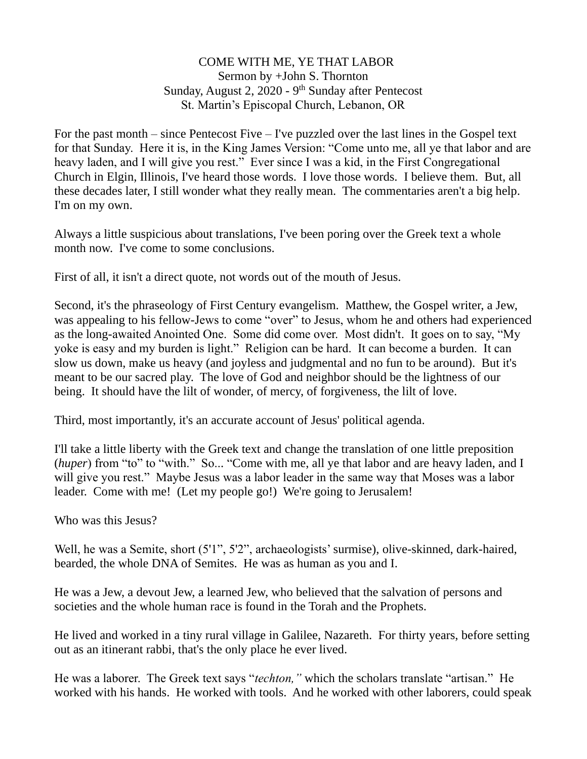## COME WITH ME, YE THAT LABOR Sermon by +John S. Thornton Sunday, August 2, 2020 - 9<sup>th</sup> Sunday after Pentecost St. Martin's Episcopal Church, Lebanon, OR

For the past month – since Pentecost Five – I've puzzled over the last lines in the Gospel text for that Sunday. Here it is, in the King James Version: "Come unto me, all ye that labor and are heavy laden, and I will give you rest." Ever since I was a kid, in the First Congregational Church in Elgin, Illinois, I've heard those words. I love those words. I believe them. But, all these decades later, I still wonder what they really mean. The commentaries aren't a big help. I'm on my own.

Always a little suspicious about translations, I've been poring over the Greek text a whole month now. I've come to some conclusions.

First of all, it isn't a direct quote, not words out of the mouth of Jesus.

Second, it's the phraseology of First Century evangelism. Matthew, the Gospel writer, a Jew, was appealing to his fellow-Jews to come "over" to Jesus, whom he and others had experienced as the long-awaited Anointed One. Some did come over. Most didn't. It goes on to say, "My yoke is easy and my burden is light." Religion can be hard. It can become a burden. It can slow us down, make us heavy (and joyless and judgmental and no fun to be around). But it's meant to be our sacred play. The love of God and neighbor should be the lightness of our being. It should have the lilt of wonder, of mercy, of forgiveness, the lilt of love.

Third, most importantly, it's an accurate account of Jesus' political agenda.

I'll take a little liberty with the Greek text and change the translation of one little preposition (*huper*) from "to" to "with." So... "Come with me, all ye that labor and are heavy laden, and I will give you rest." Maybe Jesus was a labor leader in the same way that Moses was a labor leader. Come with me! (Let my people go!) We're going to Jerusalem!

Who was this Jesus?

Well, he was a Semite, short (5'1", 5'2", archaeologists' surmise), olive-skinned, dark-haired, bearded, the whole DNA of Semites. He was as human as you and I.

He was a Jew, a devout Jew, a learned Jew, who believed that the salvation of persons and societies and the whole human race is found in the Torah and the Prophets.

He lived and worked in a tiny rural village in Galilee, Nazareth. For thirty years, before setting out as an itinerant rabbi, that's the only place he ever lived.

He was a laborer. The Greek text says "*techton,"* which the scholars translate "artisan." He worked with his hands. He worked with tools. And he worked with other laborers, could speak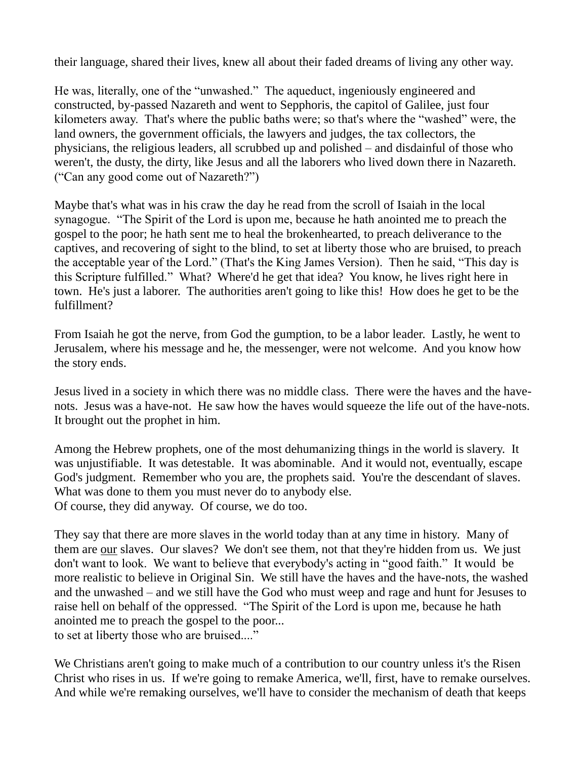their language, shared their lives, knew all about their faded dreams of living any other way.

He was, literally, one of the "unwashed." The aqueduct, ingeniously engineered and constructed, by-passed Nazareth and went to Sepphoris, the capitol of Galilee, just four kilometers away. That's where the public baths were; so that's where the "washed" were, the land owners, the government officials, the lawyers and judges, the tax collectors, the physicians, the religious leaders, all scrubbed up and polished – and disdainful of those who weren't, the dusty, the dirty, like Jesus and all the laborers who lived down there in Nazareth. ("Can any good come out of Nazareth?")

Maybe that's what was in his craw the day he read from the scroll of Isaiah in the local synagogue. "The Spirit of the Lord is upon me, because he hath anointed me to preach the gospel to the poor; he hath sent me to heal the brokenhearted, to preach deliverance to the captives, and recovering of sight to the blind, to set at liberty those who are bruised, to preach the acceptable year of the Lord." (That's the King James Version). Then he said, "This day is this Scripture fulfilled." What? Where'd he get that idea? You know, he lives right here in town. He's just a laborer. The authorities aren't going to like this! How does he get to be the fulfillment?

From Isaiah he got the nerve, from God the gumption, to be a labor leader. Lastly, he went to Jerusalem, where his message and he, the messenger, were not welcome. And you know how the story ends.

Jesus lived in a society in which there was no middle class. There were the haves and the havenots. Jesus was a have-not. He saw how the haves would squeeze the life out of the have-nots. It brought out the prophet in him.

Among the Hebrew prophets, one of the most dehumanizing things in the world is slavery. It was unjustifiable. It was detestable. It was abominable. And it would not, eventually, escape God's judgment. Remember who you are, the prophets said. You're the descendant of slaves. What was done to them you must never do to anybody else. Of course, they did anyway. Of course, we do too.

They say that there are more slaves in the world today than at any time in history. Many of them are our slaves. Our slaves? We don't see them, not that they're hidden from us. We just don't want to look. We want to believe that everybody's acting in "good faith." It would be more realistic to believe in Original Sin. We still have the haves and the have-nots, the washed and the unwashed – and we still have the God who must weep and rage and hunt for Jesuses to raise hell on behalf of the oppressed. "The Spirit of the Lord is upon me, because he hath anointed me to preach the gospel to the poor... to set at liberty those who are bruised...."

We Christians aren't going to make much of a contribution to our country unless it's the Risen Christ who rises in us. If we're going to remake America, we'll, first, have to remake ourselves. And while we're remaking ourselves, we'll have to consider the mechanism of death that keeps